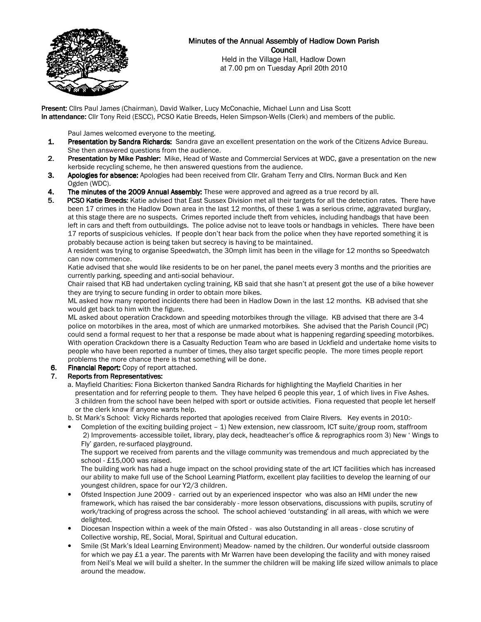

# Minutes of the Annual Assembly of Hadlow Down Parish **Council**

Held in the Village Hall, Hadlow Down at 7.00 pm on Tuesday April 20th 2010

Present: Clirs Paul James (Chairman), David Walker, Lucy McConachie, Michael Lunn and Lisa Scott In attendance: Cllr Tony Reid (ESCC), PCSO Katie Breeds, Helen Simpson-Wells (Clerk) and members of the public.

Paul James welcomed everyone to the meeting.<br>**1. Presentation by Sandra Richards:** Sandra gave

- Presentation by Sandra Richards: Sandra gave an excellent presentation on the work of the Citizens Advice Bureau. She then answered questions from the audience.
- 2. Presentation by Mike Pashler: Mike, Head of Waste and Commercial Services at WDC, gave a presentation on the new kerbside recycling scheme, he then answered questions from the audience.
- 3. Apologies for absence: Apologies had been received from Cllr. Graham Terry and Cllrs. Norman Buck and Ken Ogden (WDC).
- 4. The minutes of the 2009 Annual Assembly: These were approved and agreed as a true record by all.
- 5. PCSO Katie Breeds: Katie advised that East Sussex Division met all their targets for all the detection rates. There have been 17 crimes in the Hadlow Down area in the last 12 months, of these 1 was a serious crime, aggravated burglary, at this stage there are no suspects. Crimes reported include theft from vehicles, including handbags that have been left in cars and theft from outbuildings. The police advise not to leave tools or handbags in vehicles. There have been 17 reports of suspicious vehicles. If people don't hear back from the police when they have reported something it is probably because action is being taken but secrecy is having to be maintained.

 A resident was trying to organise Speedwatch, the 30mph limit has been in the village for 12 months so Speedwatch can now commence.

 Katie advised that she would like residents to be on her panel, the panel meets every 3 months and the priorities are currently parking, speeding and anti-social behaviour.

Chair raised that KB had undertaken cycling training, KB said that she hasn't at present got the use of a bike however they are trying to secure funding in order to obtain more bikes.

 ML asked how many reported incidents there had been in Hadlow Down in the last 12 months. KB advised that she would get back to him with the figure.

 ML asked about operation Crackdown and speeding motorbikes through the village. KB advised that there are 3-4 police on motorbikes in the area, most of which are unmarked motorbikes. She advised that the Parish Council (PC) could send a formal request to her that a response be made about what is happening regarding speeding motorbikes. With operation Crackdown there is a Casualty Reduction Team who are based in Uckfield and undertake home visits to people who have been reported a number of times, they also target specific people. The more times people report problems the more chance there is that something will be done.

6. Financial Report: Copy of report attached.

## 7. Reports from Representatives:

 a. Mayfield Charities: Fiona Bickerton thanked Sandra Richards for highlighting the Mayfield Charities in her presentation and for referring people to them. They have helped 6 people this year, 1 of which lives in Five Ashes. 3 children from the school have been helped with sport or outside activities. Fiona requested that people let herself or the clerk know if anyone wants help.

b. St Mark's School: Vicky Richards reported that apologies received from Claire Rivers. Key events in 2010:-

• Completion of the exciting building project – 1) New extension, new classroom, ICT suite/group room, staffroom 2) Improvements- accessible toilet, library, play deck, headteacher's office & reprographics room 3) New ' Wings to Fly' garden, re-surfaced playground.

The support we received from parents and the village community was tremendous and much appreciated by the school - £15,000 was raised.

The building work has had a huge impact on the school providing state of the art ICT facilities which has increased our ability to make full use of the School Learning Platform, excellent play facilities to develop the learning of our youngest children, space for our Y2/3 children.

- Ofsted Inspection June 2009 carried out by an experienced inspector who was also an HMI under the new framework, which has raised the bar considerably - more lesson observations, discussions with pupils, scrutiny of work/tracking of progress across the school. The school achieved 'outstanding' in all areas, with which we were delighted.
- Diocesan Inspection within a week of the main Ofsted was also Outstanding in all areas close scrutiny of Collective worship, RE, Social, Moral, Spiritual and Cultural education.
- Smile (St Mark's Ideal Learning Environment) Meadow- named by the children. Our wonderful outside classroom for which we pay £1 a year. The parents with Mr Warren have been developing the facility and with money raised from Neil's Meal we will build a shelter. In the summer the children will be making life sized willow animals to place around the meadow.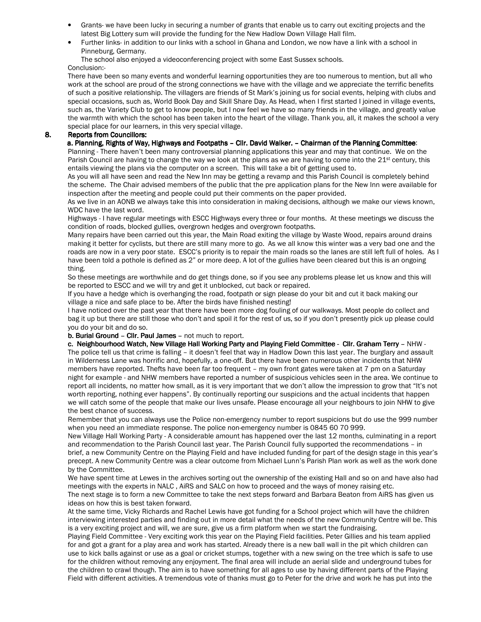- Grants- we have been lucky in securing a number of grants that enable us to carry out exciting projects and the latest Big Lottery sum will provide the funding for the New Hadlow Down Village Hall film.
- Further links- in addition to our links with a school in Ghana and London, we now have a link with a school in Pinneburg, Germany.

The school also enjoyed a videoconferencing project with some East Sussex schools. Conclusion:-

There have been so many events and wonderful learning opportunities they are too numerous to mention, but all who work at the school are proud of the strong connections we have with the village and we appreciate the terrific benefits of such a positive relationship. The villagers are friends of St Mark's joining us for social events, helping with clubs and special occasions, such as, World Book Day and Skill Share Day. As Head, when I first started I joined in village events, such as, the Variety Club to get to know people, but I now feel we have so many friends in the village, and greatly value the warmth with which the school has been taken into the heart of the village. Thank you, all, it makes the school a very special place for our learners, in this very special village.

## 8. Reports from Councillors:

## a. Planning, Rights of Way, Highways and Footpaths – Cllr. David Walker. – Chairman of the Planning Committee:

Planning - There haven't been many controversial planning applications this year and may that continue. We on the Parish Council are having to change the way we look at the plans as we are having to come into the 21<sup>st</sup> century, this entails viewing the plans via the computer on a screen. This will take a bit of getting used to.

 As you will all have seen and read the New Inn may be getting a revamp and this Parish Council is completely behind the scheme. The Chair advised members of the public that the pre application plans for the New Inn were available for inspection after the meeting and people could put their comments on the paper provided.

As we live in an AONB we always take this into consideration in making decisions, although we make our views known, WDC have the last word.

Highways - I have regular meetings with ESCC Highways every three or four months. At these meetings we discuss the condition of roads, blocked gullies, overgrown hedges and overgrown footpaths.

Many repairs have been carried out this year, the Main Road exiting the village by Waste Wood, repairs around drains making it better for cyclists, but there are still many more to go. As we all know this winter was a very bad one and the roads are now in a very poor state. ESCC's priority is to repair the main roads so the lanes are still left full of holes. As I have been told a pothole is defined as 2" or more deep. A lot of the gullies have been cleared but this is an ongoing thing.

So these meetings are worthwhile and do get things done, so if you see any problems please let us know and this will be reported to ESCC and we will try and get it unblocked, cut back or repaired.

If you have a hedge which is overhanging the road, footpath or sign please do your bit and cut it back making our village a nice and safe place to be. After the birds have finished nesting!

I have noticed over the past year that there have been more dog fouling of our walkways. Most people do collect and bag it up but there are still those who don't and spoil it for the rest of us, so if you don't presently pick up please could you do your bit and do so.

#### b. Burial Ground – Cllr. Paul James – not much to report.

c. Neighbourhood Watch, New Village Hall Working Party and Playing Field Committee - Cllr. Graham Terry - NHW -The police tell us that crime is falling – it doesn't feel that way in Hadlow Down this last year. The burglary and assault in Wilderness Lane was horrific and, hopefully, a one-off. But there have been numerous other incidents that NHW members have reported. Thefts have been far too frequent – my own front gates were taken at 7 pm on a Saturday night for example - and NHW members have reported a number of suspicious vehicles seen in the area. We continue to report all incidents, no matter how small, as it is very important that we don't allow the impression to grow that "It's not worth reporting, nothing ever happens". By continually reporting our suspicions and the actual incidents that happen we will catch some of the people that make our lives unsafe. Please encourage all your neighbours to join NHW to give the best chance of success.

Remember that you can always use the Police non-emergency number to report suspicions but do use the 999 number when you need an immediate response. The police non-emergency number is 0845 60 70 999.

New Village Hall Working Party - A considerable amount has happened over the last 12 months, culminating in a report and recommendation to the Parish Council last year. The Parish Council fully supported the recommendations – in brief, a new Community Centre on the Playing Field and have included funding for part of the design stage in this year's precept. A new Community Centre was a clear outcome from Michael Lunn's Parish Plan work as well as the work done by the Committee.

We have spent time at Lewes in the archives sorting out the ownership of the existing Hall and so on and have also had meetings with the experts in NALC , AiRS and SALC on how to proceed and the ways of money raising etc.

The next stage is to form a new Committee to take the next steps forward and Barbara Beaton from AiRS has given us ideas on how this is best taken forward.

At the same time, Vicky Richards and Rachel Lewis have got funding for a School project which will have the children interviewing interested parties and finding out in more detail what the needs of the new Community Centre will be. This is a very exciting project and will, we are sure, give us a firm platform when we start the fundraising.

 Playing Field Committee - Very exciting work this year on the Playing Field facilities. Peter Gillies and his team applied for and got a grant for a play area and work has started. Already there is a new ball wall in the pit which children can use to kick balls against or use as a goal or cricket stumps, together with a new swing on the tree which is safe to use for the children without removing any enjoyment. The final area will include an aerial slide and underground tubes for the children to crawl though. The aim is to have something for all ages to use by having different parts of the Playing Field with different activities. A tremendous vote of thanks must go to Peter for the drive and work he has put into the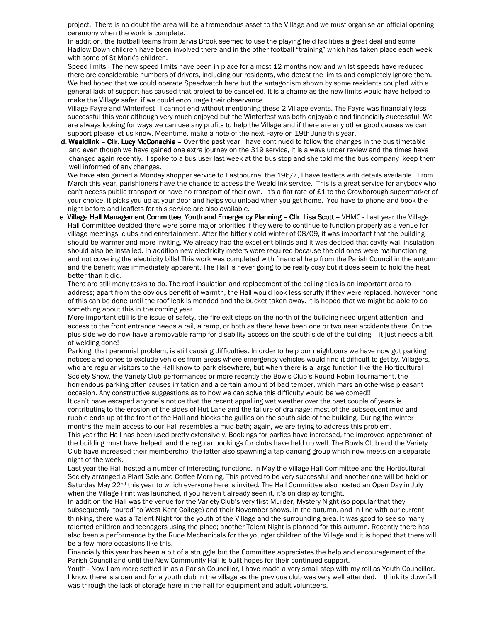project. There is no doubt the area will be a tremendous asset to the Village and we must organise an official opening ceremony when the work is complete.

In addition, the football teams from Jarvis Brook seemed to use the playing field facilities a great deal and some Hadlow Down children have been involved there and in the other football "training" which has taken place each week with some of St Mark's children.

Speed limits - The new speed limits have been in place for almost 12 months now and whilst speeds have reduced there are considerable numbers of drivers, including our residents, who detest the limits and completely ignore them. We had hoped that we could operate Speedwatch here but the antagonism shown by some residents coupled with a general lack of support has caused that project to be cancelled. It is a shame as the new limits would have helped to make the Village safer, if we could encourage their observance.

Village Fayre and Winterfest - I cannot end without mentioning these 2 Village events. The Fayre was financially less successful this year although very much enjoyed but the Winterfest was both enjoyable and financially successful. We are always looking for ways we can use any profits to help the Village and if there are any other good causes we can support please let us know. Meantime, make a note of the next Fayre on 19th June this year.

d. Wealdlink - Cllr. Lucy McConachie - Over the past year I have continued to follow the changes in the bus timetable and even though we have gained one extra journey on the 319 service, it is always under review and the times have changed again recently. I spoke to a bus user last week at the bus stop and she told me the bus company keep them well informed of any changes.

We have also gained a Monday shopper service to Eastbourne, the 196/7, I have leaflets with details available. From March this year, parishioners have the chance to access the Wealdlink service. This is a great service for anybody who can't access public transport or have no transport of their own. It's a flat rate of £1 to the Crowborough supermarket of your choice, it picks you up at your door and helps you unload when you get home. You have to phone and book the night before and leaflets for this service are also available.

e. Village Hall Management Committee, Youth and Emergency Planning - Cllr. Lisa Scott - VHMC - Last year the Village Hall Committee decided there were some major priorities if they were to continue to function properly as a venue for village meetings, clubs and entertainment. After the bitterly cold winter of 08/09, it was important that the building should be warmer and more inviting. We already had the excellent blinds and it was decided that cavity wall insulation should also be installed. In addition new electricity meters were required because the old ones were malfunctioning and not covering the electricity bills! This work was completed with financial help from the Parish Council in the autumn and the benefit was immediately apparent. The Hall is never going to be really cosy but it does seem to hold the heat better than it did.

There are still many tasks to do. The roof insulation and replacement of the ceiling tiles is an important area to address; apart from the obvious benefit of warmth, the Hall would look less scruffy if they were replaced, however none of this can be done until the roof leak is mended and the bucket taken away. It is hoped that we might be able to do something about this in the coming year.

More important still is the issue of safety, the fire exit steps on the north of the building need urgent attention and access to the front entrance needs a rail, a ramp, or both as there have been one or two near accidents there. On the plus side we do now have a removable ramp for disability access on the south side of the building – it just needs a bit of welding done!

Parking, that perennial problem, is still causing difficulties. In order to help our neighbours we have now got parking notices and cones to exclude vehicles from areas where emergency vehicles would find it difficult to get by. Villagers, who are regular visitors to the Hall know to park elsewhere, but when there is a large function like the Horticultural Society Show, the Variety Club performances or more recently the Bowls Club's Round Robin Tournament, the horrendous parking often causes irritation and a certain amount of bad temper, which mars an otherwise pleasant occasion. Any constructive suggestions as to how we can solve this difficulty would be welcomed!!

It can't have escaped anyone's notice that the recent appalling wet weather over the past couple of years is contributing to the erosion of the sides of Hut Lane and the failure of drainage; most of the subsequent mud and rubble ends up at the front of the Hall and blocks the gullies on the south side of the building. During the winter months the main access to our Hall resembles a mud-bath; again, we are trying to address this problem.

This year the Hall has been used pretty extensively. Bookings for parties have increased, the improved appearance of the building must have helped, and the regular bookings for clubs have held up well. The Bowls Club and the Variety Club have increased their membership, the latter also spawning a tap-dancing group which now meets on a separate night of the week.

Last year the Hall hosted a number of interesting functions. In May the Village Hall Committee and the Horticultural Society arranged a Plant Sale and Coffee Morning. This proved to be very successful and another one will be held on Saturday May 22<sup>nd</sup> this year to which everyone here is invited. The Hall Committee also hosted an Open Day in July when the Village Print was launched, if you haven't already seen it, it's on display tonight.

In addition the Hall was the venue for the Variety Club's very first Murder, Mystery Night (so popular that they subsequently 'toured' to West Kent College) and their November shows. In the autumn, and in line with our current thinking, there was a Talent Night for the youth of the Village and the surrounding area. It was good to see so many talented children and teenagers using the place; another Talent Night is planned for this autumn. Recently there has also been a performance by the Rude Mechanicals for the younger children of the Village and it is hoped that there will be a few more occasions like this.

Financially this year has been a bit of a struggle but the Committee appreciates the help and encouragement of the Parish Council and until the New Community Hall is built hopes for their continued support.

Youth - Now I am more settled in as a Parish Councillor, I have made a very small step with my roll as Youth Councillor. I know there is a demand for a youth club in the village as the previous club was very well attended. I think its downfall was through the lack of storage here in the hall for equipment and adult volunteers.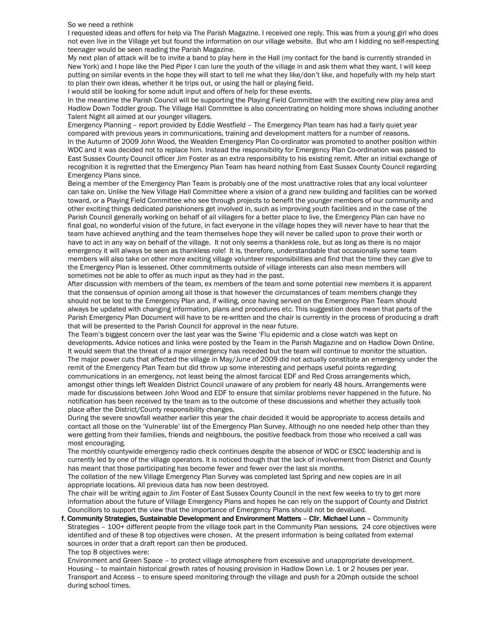#### So we need a rethink

I requested ideas and offers for help via The Parish Magazine. I received one reply. This was from a young girl who does not even live in the Village yet but found the information on our village website. But who am I kidding no self-respecting teenager would be seen reading the Parish Magazine.

My next plan of attack will be to invite a band to play here in the Hall (my contact for the band is currently stranded in New York) and I hope like the Pied Piper I can lure the youth of the village in and ask them what they want. I will keep putting on similar events in the hope they will start to tell me what they like/don't like, and hopefully with my help start to plan their own ideas, whether it be trips out, or using the hall or playing field.

I would still be looking for some adult input and offers of help for these events.

In the meantime the Parish Council will be supporting the Playing Field Committee with the exciting new play area and Hadlow Down Toddler group. The Village Hall Committee is also concentrating on holding more shows including another Talent Night all aimed at our younger villagers.

Emergency Planning – report provided by Eddie Westfield – The Emergency Plan team has had a fairly quiet year compared with previous years in communications, training and development matters for a number of reasons. In the Autumn of 2009 John Wood, the Wealden Emergency Plan Co-ordinator was promoted to another position within WDC and it was decided not to replace him. Instead the responsibility for Emergency Plan Co-ordination was passed to East Sussex County Council officer Jim Foster as an extra responsibility to his existing remit. After an initial exchange of recognition it is regretted that the Emergency Plan Team has heard nothing from East Sussex County Council regarding Emergency Plans since.

Being a member of the Emergency Plan Team is probably one of the most unattractive roles that any local volunteer can take on. Unlike the New Village Hall Committee where a vision of a grand new building and facilities can be worked toward, or a Playing Field Committee who see through projects to benefit the younger members of our community and other exciting things dedicated parishioners get involved in, such as improving youth facilities and in the case of the Parish Council generally working on behalf of all villagers for a better place to live, the Emergency Plan can have no final goal, no wonderful vision of the future, in fact everyone in the village hopes they will never have to hear that the team have achieved anything and the team themselves hope they will never be called upon to prove their worth or have to act in any way on behalf of the village. It not only seems a thankless role, but as long as there is no major emergency it will always be seen as thankless role! It is, therefore, understandable that occasionally some team members will also take on other more exciting village volunteer responsibilities and find that the time they can give to the Emergency Plan is lessened. Other commitments outside of village interests can also mean members will sometimes not be able to offer as much input as they had in the past.

After discussion with members of the team, ex members of the team and some potential new members it is apparent that the consensus of opinion among all those is that however the circumstances of team members change they should not be lost to the Emergency Plan and, if willing, once having served on the Emergency Plan Team should always be updated with changing information, plans and procedures etc. This suggestion does mean that parts of the Parish Emergency Plan Document will have to be re-written and the chair is currently in the process of producing a draft that will be presented to the Parish Council for approval in the near future.

The Team's biggest concern over the last year was the Swine 'Flu epidemic and a close watch was kept on developments. Advice notices and links were posted by the Team in the Parish Magazine and on Hadlow Down Online. It would seem that the threat of a major emergency has receded but the team will continue to monitor the situation. The major power cuts that affected the village in May/June of 2009 did not actually constitute an emergency under the remit of the Emergency Plan Team but did throw up some interesting and perhaps useful points regarding communications in an emergency, not least being the almost farcical EDF and Red Cross arrangements which, amongst other things left Wealden District Council unaware of any problem for nearly 48 hours. Arrangements were made for discussions between John Wood and EDF to ensure that similar problems never happened in the future. No notification has been received by the team as to the outcome of these discussions and whether they actually took place after the District/County responsibility changes.

During the severe snowfall weather earlier this year the chair decided it would be appropriate to access details and contact all those on the 'Vulnerable' list of the Emergency Plan Survey. Although no one needed help other than they were getting from their families, friends and neighbours, the positive feedback from those who received a call was most encouraging.

The monthly countywide emergency radio check continues despite the absence of WDC or ESCC leadership and is currently led by one of the village operators. It is noticed though that the lack of involvement from District and County has meant that those participating has become fewer and fewer over the last six months.

The collation of the new Village Emergency Plan Survey was completed last Spring and new copies are in all appropriate locations. All previous data has now been destroyed.

The chair will be writing again to Jim Foster of East Sussex County Council in the next few weeks to try to get more information about the future of Village Emergency Plans and hopes he can rely on the support of County and District Councillors to support the view that the importance of Emergency Plans should not be devalued.

f. Community Strategies, Sustainable Development and Environment Matters - Cllr. Michael Lunn - Community Strategies – 100+ different people from the village took part in the Community Plan sessions. 24 core objectives were identified and of these 8 top objectives were chosen. At the present information is being collated from external sources in order that a draft report can then be produced. The top 8 objectives were:

 Environment and Green Space – to protect village atmosphere from excessive and unappropriate development. Housing – to maintain historical growth rates of housing provision in Hadlow Down i.e. 1 or 2 houses per year. Transport and Access – to ensure speed monitoring through the village and push for a 20mph outside the school during school times.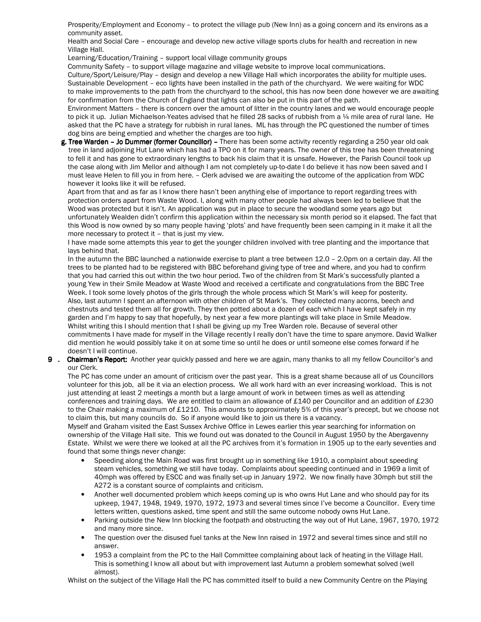Prosperity/Employment and Economy – to protect the village pub (New Inn) as a going concern and its environs as a community asset.

 Health and Social Care – encourage and develop new active village sports clubs for health and recreation in new Village Hall.

Learning/Education/Training – support local village community groups

Community Safety – to support village magazine and village website to improve local communications.

 Culture/Sport/Leisure/Play – design and develop a new Village Hall which incorporates the ability for multiple uses. Sustainable Development – eco lights have been installed in the path of the churchyard. We were waiting for WDC to make improvements to the path from the churchyard to the school, this has now been done however we are awaiting for confirmation from the Church of England that lights can also be put in this part of the path.

 Environment Matters – there is concern over the amount of litter in the country lanes and we would encourage people to pick it up. Julian Michaelson-Yeates advised that he filled 28 sacks of rubbish from a 1/4 mile area of rural lane. He asked that the PC have a strategy for rubbish in rural lanes. ML has through the PC questioned the number of times dog bins are being emptied and whether the charges are too high.

g. Tree Warden - Jo Dummer (former Councillor) - There has been some activity recently regarding a 250 year old oak tree in land adjoining Hut Lane which has had a TPO on it for many years. The owner of this tree has been threatening to fell it and has gone to extraordinary lengths to back his claim that it is unsafe. However, the Parish Council took up the case along with Jim Mellor and although I am not completely up-to-date I do believe it has now been saved and I must leave Helen to fill you in from here. – Clerk advised we are awaiting the outcome of the application from WDC however it looks like it will be refused.

Apart from that and as far as I know there hasn't been anything else of importance to report regarding trees with protection orders apart from Waste Wood. I, along with many other people had always been led to believe that the Wood was protected but it isn't. An application was put in place to secure the woodland some years ago but unfortunately Wealden didn't confirm this application within the necessary six month period so it elapsed. The fact that this Wood is now owned by so many people having 'plots' and have frequently been seen camping in it make it all the more necessary to protect it – that is just my view.

I have made some attempts this year to get the younger children involved with tree planting and the importance that lays behind that.

In the autumn the BBC launched a nationwide exercise to plant a tree between 12.0 – 2.0pm on a certain day. All the trees to be planted had to be registered with BBC beforehand giving type of tree and where, and you had to confirm that you had carried this out within the two hour period. Two of the children from St Mark's successfully planted a young Yew in their Smile Meadow at Waste Wood and received a certificate and congratulations from the BBC Tree Week. I took some lovely photos of the girls through the whole process which St Mark's will keep for posterity. Also, last autumn I spent an afternoon with other children of St Mark's. They collected many acorns, beech and chestnuts and tested them all for growth. They then potted about a dozen of each which I have kept safely in my garden and I'm happy to say that hopefully, by next year a few more plantings will take place in Smile Meadow. Whilst writing this I should mention that I shall be giving up my Tree Warden role. Because of several other commitments I have made for myself in the Village recently I really don't have the time to spare anymore. David Walker did mention he would possibly take it on at some time so until he does or until someone else comes forward if he doesn't I will continue.

9 . Chairman's Report: Another year quickly passed and here we are again, many thanks to all my fellow Councillor's and our Clerk.

 The PC has come under an amount of criticism over the past year. This is a great shame because all of us Councillors volunteer for this job, all be it via an election process. We all work hard with an ever increasing workload. This is not just attending at least 2 meetings a month but a large amount of work in between times as well as attending conferences and training days. We are entitled to claim an allowance of £140 per Councillor and an addition of £230 to the Chair making a maximum of £1210. This amounts to approximately 5% of this year's precept, but we choose not to claim this, but many councils do. So if anyone would like to join us there is a vacancy.

Myself and Graham visited the East Sussex Archive Office in Lewes earlier this year searching for information on ownership of the Village Hall site. This we found out was donated to the Council in August 1950 by the Abergavenny Estate. Whilst we were there we looked at all the PC archives from it's formation in 1905 up to the early seventies and found that some things never change:

- Speeding along the Main Road was first brought up in something like 1910, a complaint about speeding steam vehicles, something we still have today. Complaints about speeding continued and in 1969 a limit of 40mph was offered by ESCC and was finally set-up in January 1972. We now finally have 30mph but still the A272 is a constant source of complaints and criticism.
- Another well documented problem which keeps coming up is who owns Hut Lane and who should pay for its upkeep, 1947, 1948, 1949, 1970, 1972, 1973 and several times since I've become a Councillor. Every time letters written, questions asked, time spent and still the same outcome nobody owns Hut Lane.
- Parking outside the New Inn blocking the footpath and obstructing the way out of Hut Lane, 1967, 1970, 1972 and many more since.
- The question over the disused fuel tanks at the New Inn raised in 1972 and several times since and still no answer.
- 1953 a complaint from the PC to the Hall Committee complaining about lack of heating in the Village Hall. This is something I know all about but with improvement last Autumn a problem somewhat solved (well almost).

Whilst on the subject of the Village Hall the PC has committed itself to build a new Community Centre on the Playing